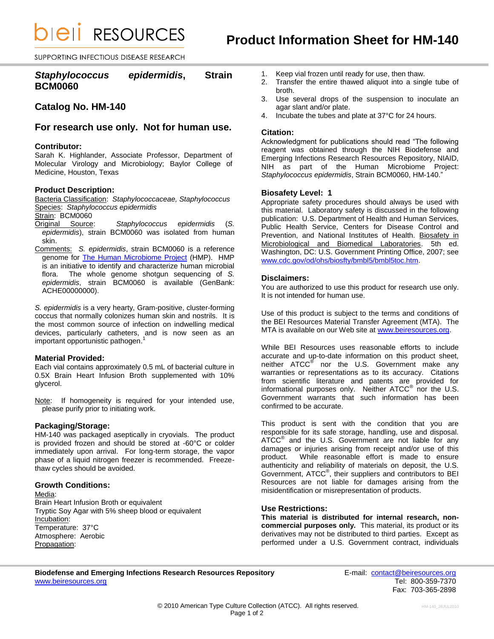*DIEII RESOURCES* 

SUPPORTING INFECTIOUS DISEASE RESEARCH

# *Staphylococcus epidermidis***, Strain BCM0060**

# **Catalog No. HM-140**

## **For research use only. Not for human use.**

### **Contributor:**

Sarah K. Highlander, Associate Professor, Department of Molecular Virology and Microbiology; Baylor College of Medicine, Houston, Texas

## **Product Description:**

Bacteria Classification: *Staphylococcaceae, Staphylococcus* Species: *Staphylococcus epidermidis*

Strain: BCM0060

- Original Source: *Staphylococcus epidermidis* (*S. epidermidis*), strain BCM0060 was isolated from human skin.
- Comments: *S. epidermidis*, strain BCM0060 is a reference genome for [The Human Microbiome Project](http://nihroadmap.nih.gov/hmp/) (HMP). HMP is an initiative to identify and characterize human microbial flora. The whole genome shotgun sequencing of *S. epidermidis*, strain BCM0060 is available (GenBank: ACHE00000000).

*S. epidermidis* is a very hearty, Gram-positive, cluster-forming coccus that normally colonizes human skin and nostrils. It is the most common source of infection on indwelling medical devices, particularly catheters, and is now seen as an important opportunistic pathogen. 1

### **Material Provided:**

Each vial contains approximately 0.5 mL of bacterial culture in 0.5X Brain Heart Infusion Broth supplemented with 10% glycerol.

Note: If homogeneity is required for your intended use, please purify prior to initiating work.

## **Packaging/Storage:**

HM-140 was packaged aseptically in cryovials. The product is provided frozen and should be stored at -60°C or colder immediately upon arrival. For long-term storage, the vapor phase of a liquid nitrogen freezer is recommended. Freezethaw cycles should be avoided.

## **Growth Conditions:**

Media: Brain Heart Infusion Broth or equivalent Tryptic Soy Agar with 5% sheep blood or equivalent Incubation: Temperature: 37°C Atmosphere: Aerobic Propagation:

- 1. Keep vial frozen until ready for use, then thaw.
- 2. Transfer the entire thawed aliquot into a single tube of broth.
- 3. Use several drops of the suspension to inoculate an agar slant and/or plate.
- 4. Incubate the tubes and plate at 37°C for 24 hours.

### **Citation:**

Acknowledgment for publications should read "The following reagent was obtained through the NIH Biodefense and Emerging Infections Research Resources Repository, NIAID, NIH as part of the Human Microbiome Project: *Staphylococcus epidermidis*, Strain BCM0060, HM-140."

### **Biosafety Level: 1**

Appropriate safety procedures should always be used with this material. Laboratory safety is discussed in the following publication: U.S. Department of Health and Human Services, Public Health Service, Centers for Disease Control and Prevention, and National Institutes of Health. Biosafety in Microbiological and Biomedical Laboratories. 5th ed. Washington, DC: U.S. Government Printing Office, 2007; see [www.cdc.gov/od/ohs/biosfty/bmbl5/bmbl5toc.htm.](http://www.cdc.gov/od/ohs/biosfty/bmbl5/bmbl5toc.htm)

### **Disclaimers:**

You are authorized to use this product for research use only. It is not intended for human use.

Use of this product is subject to the terms and conditions of the BEI Resources Material Transfer Agreement (MTA). The MTA is available on our Web site at [www.beiresources.org.](http://www.beiresources.org/)

While BEI Resources uses reasonable efforts to include accurate and up-to-date information on this product sheet, neither ATCC<sup>®</sup> nor the U.S. Government make any warranties or representations as to its accuracy. Citations from scientific literature and patents are provided for informational purposes only. Neither  $\tt{ATCC}^{\circledR}$  nor the U.S. Government warrants that such information has been confirmed to be accurate.

This product is sent with the condition that you are responsible for its safe storage, handling, use and disposal. ATCC<sup>®</sup> and the U.S. Government are not liable for any damages or injuries arising from receipt and/or use of this product. While reasonable effort is made to ensure authenticity and reliability of materials on deposit, the U.S. Government, ATCC® , their suppliers and contributors to BEI Resources are not liable for damages arising from the misidentification or misrepresentation of products.

## **Use Restrictions:**

**This material is distributed for internal research, noncommercial purposes only.** This material, its product or its derivatives may not be distributed to third parties. Except as performed under a U.S. Government contract, individuals

## **Biodefense and Emerging Infections Research Resources Repository E-mail:** contact@beiresources.org [www.beiresources.org](http://www.beiresources.org/) **Tel: 800-359-7370**

Fax: 703-365-2898